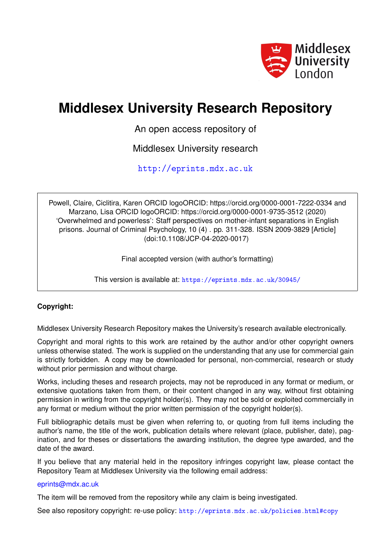

# **Middlesex University Research Repository**

An open access repository of

Middlesex University research

<http://eprints.mdx.ac.uk>

Powell, Claire, Ciclitira, Karen ORCID logoORCID: https://orcid.org/0000-0001-7222-0334 and Marzano, Lisa ORCID logoORCID: https://orcid.org/0000-0001-9735-3512 (2020) 'Overwhelmed and powerless': Staff perspectives on mother-infant separations in English prisons. Journal of Criminal Psychology, 10 (4) . pp. 311-328. ISSN 2009-3829 [Article] (doi:10.1108/JCP-04-2020-0017)

Final accepted version (with author's formatting)

This version is available at: <https://eprints.mdx.ac.uk/30945/>

# **Copyright:**

Middlesex University Research Repository makes the University's research available electronically.

Copyright and moral rights to this work are retained by the author and/or other copyright owners unless otherwise stated. The work is supplied on the understanding that any use for commercial gain is strictly forbidden. A copy may be downloaded for personal, non-commercial, research or study without prior permission and without charge.

Works, including theses and research projects, may not be reproduced in any format or medium, or extensive quotations taken from them, or their content changed in any way, without first obtaining permission in writing from the copyright holder(s). They may not be sold or exploited commercially in any format or medium without the prior written permission of the copyright holder(s).

Full bibliographic details must be given when referring to, or quoting from full items including the author's name, the title of the work, publication details where relevant (place, publisher, date), pagination, and for theses or dissertations the awarding institution, the degree type awarded, and the date of the award.

If you believe that any material held in the repository infringes copyright law, please contact the Repository Team at Middlesex University via the following email address:

#### [eprints@mdx.ac.uk](mailto:eprints@mdx.ac.uk)

The item will be removed from the repository while any claim is being investigated.

See also repository copyright: re-use policy: <http://eprints.mdx.ac.uk/policies.html#copy>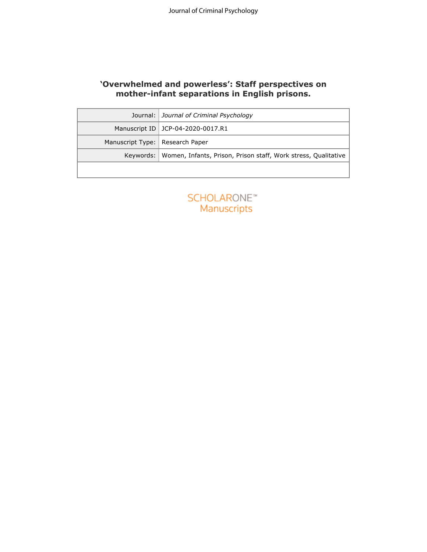#### **'Overwhelmed and powerless': Staff perspectives on mother-infant separations in English prisons.**

|                  | mother miant separations in English prisons.                   |
|------------------|----------------------------------------------------------------|
| Journal:         | Journal of Criminal Psychology                                 |
| Manuscript ID    | JCP-04-2020-0017.R1                                            |
| Manuscript Type: | Research Paper                                                 |
| Keywords:        | Women, Infants, Prison, Prison staff, Work stress, Qualitative |
|                  |                                                                |
|                  | <b>SCHOLARONE™</b><br>Manuscripts                              |
|                  |                                                                |
|                  |                                                                |
|                  |                                                                |
|                  |                                                                |
|                  |                                                                |
|                  |                                                                |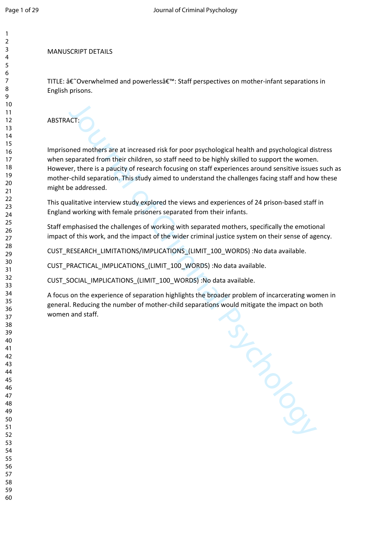#### MANUSCRIPT DETAILS

TITLE:  $\hat{a} \in \tilde{C}$  Overwhelmed and powerless $\hat{a} \in \tilde{C}^M$ : Staff perspectives on mother-infant separations in English prisons.

#### ABSTRACT:

Imprisoned mothers are at increased risk for poor psychological health and psychological distress when separated from their children, so staff need to be highly skilled to support the women. However, there is a paucity of research focusing on staff experiences around sensitive issues such as mother-child separation. This study aimed to understand the challenges facing staff and how these might be addressed.

This qualitative interview study explored the views and experiences of 24 prison-based staff in England working with female prisoners separated from their infants.

Staff emphasised the challenges of working with separated mothers, specifically the emotional impact of this work, and the impact of the wider criminal justice system on their sense of agency.

CUST\_RESEARCH\_LIMITATIONS/IMPLICATIONS\_(LIMIT\_100\_WORDS) :No data available.

CUST\_PRACTICAL\_IMPLICATIONS\_(LIMIT\_100\_WORDS) :No data available.

CUST\_SOCIAL\_IMPLICATIONS\_(LIMIT\_100\_WORDS) :No data available.

A focus on the experience of separation highlights the broader problem of incarcerating women in general. Reducing the number of mother-child separations would mitigate the impact on both women and staff.

Journal Criminal Psychology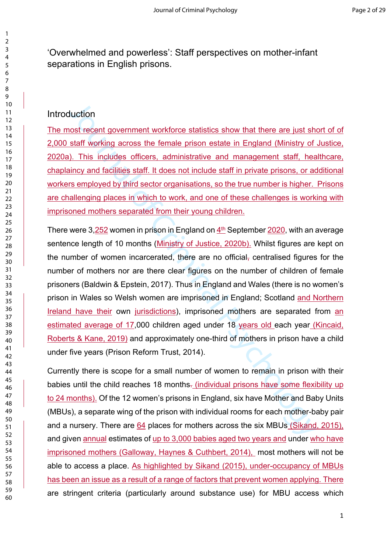'Overwhelmed and powerless': Staff perspectives on mother-infant separations in English prisons.

# Introduction

The most recent government workforce statistics show that there are just short of of 2,000 staff working across the female prison estate in England (Ministry of Justice, 2020a). This includes officers, administrative and management staff, healthcare, chaplaincy and facilities staff. It does not include staff in private prisons, or additional workers employed by third sector organisations, so the true number is higher. Prisons are challenging places in which to work, and one of these challenges is working with imprisoned mothers separated from their young children.

**Standard Constant Constant Constant Constant Constant Constant Constant Constant Constant Constant Constant Constant Constant Constant Constant Constant Constant Constant Constant Constant Constant Constant Constant Const** There were 3,252 women in prison in England on  $4<sup>th</sup>$  September 2020, with an average sentence length of 10 months (Ministry of Justice, 2020b). Whilst figures are kept on the number of women incarcerated, there are no official, centralised figures for the number of mothers nor are there clear figures on the number of children of female prisoners (Baldwin & Epstein, 2017). Thus in England and Wales (there is no women's prison in Wales so Welsh women are imprisoned in England; Scotland and Northern Ireland have their own jurisdictions), imprisoned mothers are separated from an estimated average of 17,000 children aged under 18 years old each year (Kincaid, Roberts & Kane, 2019) and approximately one-third of mothers in prison have a child under five years (Prison Reform Trust, 2014).

Currently there is scope for a small number of women to remain in prison with their babies until the child reaches 18 months. (individual prisons have some flexibility up to 24 months). Of the 12 women's prisons in England, six have Mother and Baby Units (MBUs), a separate wing of the prison with individual rooms for each mother-baby pair and a nursery. There are 64 places for mothers across the six MBUs (Sikand, 2015), and given annual estimates of up to 3,000 babies aged two years and under who have imprisoned mothers (Galloway, Haynes & Cuthbert, 2014), most mothers will not be able to access a place. As highlighted by Sikand (2015), under-occupancy of MBUs has been an issue as a result of a range of factors that prevent women applying. There are stringent criteria (particularly around substance use) for MBU access which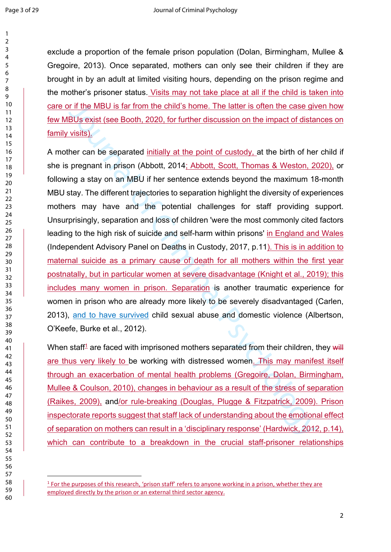exclude a proportion of the female prison population (Dolan, Birmingham, Mullee & Gregoire, 2013). Once separated, mothers can only see their children if they are brought in by an adult at limited visiting hours, depending on the prison regime and the mother's prisoner status. Visits may not take place at all if the child is taken into care or if the MBU is far from the child's home. The latter is often the case given how few MBUs exist (see Booth, 2020, for further discussion on the impact of distances on family visits).

in if the MBU is far from the child's home. The latter is often the case give<br>US exist (see Booth, 2020, for further discussion on the impact of distare<br>Vists).<br>
Mer can be separated initially at the point of custody, at t A mother can be separated initially at the point of custody, at the birth of her child if she is pregnant in prison (Abbott, 2014; Abbott, Scott, Thomas & Weston, 2020), or following a stay on an MBU if her sentence extends beyond the maximum 18-month MBU stay. The different trajectories to separation highlight the diversity of experiences mothers may have and the potential challenges for staff providing support. Unsurprisingly, separation and loss of children 'were the most commonly cited factors leading to the high risk of suicide and self-harm within prisons' in England and Wales (Independent Advisory Panel on Deaths in Custody, 2017, p.11). This is in addition to maternal suicide as a primary cause of death for all mothers within the first year postnatally, but in particular women at severe disadvantage (Knight et al., 2019); this includes many women in prison. Separation is another traumatic experience for women in prison who are already more likely to be severely disadvantaged (Carlen, 2013), and to have survived child sexual abuse and domestic violence (Albertson, O'Keefe, Burke et al., 2012).

When staff<sup>1</sup> are faced with imprisoned mothers separated from their children, they will are thus very likely to be working with distressed women. This may manifest itself through an exacerbation of mental health problems (Gregoire, Dolan, Birmingham, Mullee & Coulson, 2010), changes in behaviour as a result of the stress of separation (Raikes, 2009), and/or rule-breaking (Douglas, Plugge & Fitzpatrick, 2009). Prison inspectorate reports suggest that staff lack of understanding about the emotional effect of separation on mothers can result in a 'disciplinary response' (Hardwick, 2012, p.14), which can contribute to a breakdown in the crucial staff-prisoner relationships

<sup>&</sup>lt;sup>1</sup> For the purposes of this research, 'prison staff' refers to anyone working in a prison, whether they are employed directly by the prison or an external third sector agency.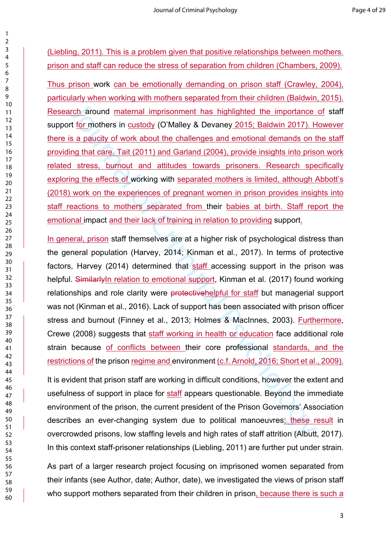(Liebling, 2011). This is a problem given that positive relationships between mothers, prison and staff can reduce the stress of separation from children (Chambers, 2009).

Thus prison work can be emotionally demanding on prison staff (Crawley, 2004), particularly when working with mothers separated from their children (Baldwin, 2015). Research around maternal imprisonment has highlighted the importance of staff support for mothers in custody (O'Malley & Devaney 2015; Baldwin 2017). However there is a paucity of work about the challenges and emotional demands on the staff providing that care. Tait (2011) and Garland (2004), provide insights into prison work related stress, burnout and attitudes towards prisoners. Research specifically exploring the effects of working with separated mothers is limited, although Abbott's (2018) work on the experiences of pregnant women in prison provides insights into staff reactions to mothers separated from their babies at birth. Staff report the emotional impact and their lack of training in relation to providing support.

arch around maternal imprisonment has highlighted the importance<br>arch around maternal imprisonment has highlighted the importance<br>of the mothers in custody (O'Malley & Devaney 2015; Baldwin 2017). His a paucity of work abo In general, prison staff themselves are at a higher risk of psychological distress than the general population (Harvey, 2014; Kinman et al., 2017). In terms of protective factors, Harvey (2014) determined that staff accessing support in the prison was helpful. SimilarlyIn relation to emotional support, Kinman et al. (2017) found working relationships and role clarity were protectivehelpful for staff but managerial support was not (Kinman et al., 2016). Lack of support has been associated with prison officer stress and burnout (Finney et al., 2013; Holmes & MacInnes, 2003). Furthermore, Crewe (2008) suggests that staff working in health or education face additional role strain because of conflicts between their core professional standards, and the restrictions of the prison regime and environment (c.f. Arnold, 2016; Short et al., 2009).

It is evident that prison staff are working in difficult conditions, however the extent and usefulness of support in place for staff appears questionable. Beyond the immediate environment of the prison, the current president of the Prison Governors' Association describes an ever-changing system due to political manoeuvres; these result in overcrowded prisons, low staffing levels and high rates of staff attrition (Albutt, 2017). In this context staff-prisoner relationships (Liebling, 2011) are further put under strain.

As part of a larger research project focusing on imprisoned women separated from their infants (see Author, date; Author, date), we investigated the views of prison staff who support mothers separated from their children in prison, because there is such a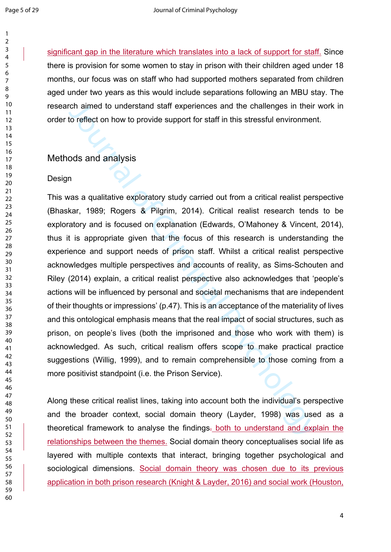significant gap in the literature which translates into a lack of support for staff. Since there is provision for some women to stay in prison with their children aged under 18 months, our focus was on staff who had supported mothers separated from children aged under two years as this would include separations following an MBU stay. The research aimed to understand staff experiences and the challenges in their work in order to reflect on how to provide support for staff in this stressful environment.

# Methods and analysis

#### Design

rch aimed to understand staff experiences and the challenges in their<br>to reflect on how to provide support for staff in this stressful environmen<br>ods and analysis<br>m<br>axes a qualitative exploratory study carried out from a c This was a qualitative exploratory study carried out from a critical realist perspective (Bhaskar, 1989; Rogers & Pilgrim, 2014). Critical realist research tends to be exploratory and is focused on explanation (Edwards, O'Mahoney & Vincent, 2014), thus it is appropriate given that the focus of this research is understanding the experience and support needs of prison staff. Whilst a critical realist perspective acknowledges multiple perspectives and accounts of reality, as Sims-Schouten and Riley (2014) explain, a critical realist perspective also acknowledges that 'people's actions will be influenced by personal and societal mechanisms that are independent of their thoughts or impressions' (p.47). This is an acceptance of the materiality of lives and this ontological emphasis means that the real impact of social structures, such as prison, on people's lives (both the imprisoned and those who work with them) is acknowledged. As such, critical realism offers scope to make practical practice suggestions (Willig, 1999), and to remain comprehensible to those coming from a more positivist standpoint (i.e. the Prison Service).

Along these critical realist lines, taking into account both the individual's perspective and the broader context, social domain theory (Layder, 1998) was used as a theoretical framework to analyse the findings. both to understand and explain the relationships between the themes. Social domain theory conceptualises social life as layered with multiple contexts that interact, bringing together psychological and sociological dimensions. Social domain theory was chosen due to its previous application in both prison research (Knight & Layder, 2016) and social work (Houston,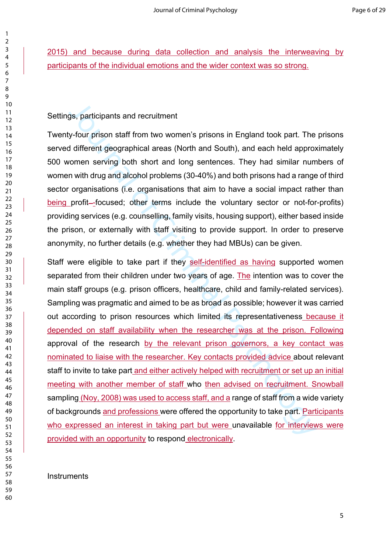2015) and because during data collection and analysis the interweaving by participants of the individual emotions and the wider context was so strong.

#### Settings, participants and recruitment

Twenty-four prison staff from two women's prisons in England took part. The prisons served different geographical areas (North and South), and each held approximately 500 women serving both short and long sentences. They had similar numbers of women with drug and alcohol problems (30-40%) and both prisons had a range of third sector organisations (i.e. organisations that aim to have a social impact rather than being profit-focused; other terms include the voluntary sector or not-for-profits) providing services (e.g. counselling, family visits, housing support), either based inside the prison, or externally with staff visiting to provide support. In order to preserve anonymity, no further details (e.g. whether they had MBUs) can be given.

gs, participants and recruitment<br>y-four prison staff from two women's prisons in England took part. The<br>y-four prison staff from two women's prisons in England took part. The<br>different geographical areas (North and South), Staff were eligible to take part if they self-identified as having supported women separated from their children under two years of age. The intention was to cover the main staff groups (e.g. prison officers, healthcare, child and family-related services). Sampling was pragmatic and aimed to be as broad as possible; however it was carried out according to prison resources which limited its representativeness because it depended on staff availability when the researcher was at the prison. Following approval of the research by the relevant prison governors, a key contact was nominated to liaise with the researcher. Key contacts provided advice about relevant staff to invite to take part and either actively helped with recruitment or set up an initial meeting with another member of staff who then advised on recruitment. Snowball sampling (Noy, 2008) was used to access staff, and a range of staff from a wide variety of backgrounds and professions were offered the opportunity to take part. Participants who expressed an interest in taking part but were unavailable for interviews were provided with an opportunity to respond electronically.

#### **Instruments**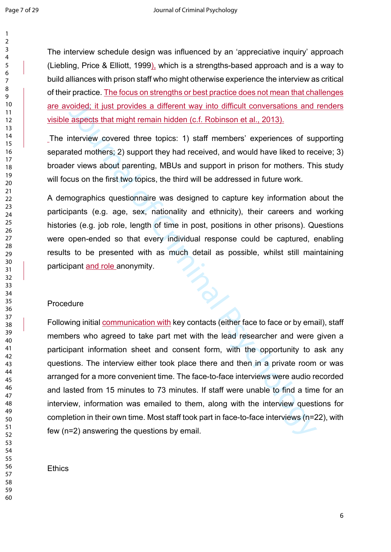The interview schedule design was influenced by an 'appreciative inquiry' approach (Liebling, Price & Elliott, 1999), which is a strengths-based approach and is a way to build alliances with prison staff who might otherwise experience the interview as critical of their practice. The focus on strengths or best practice does not mean that challenges are avoided; it just provides a different way into difficult conversations and renders visible aspects that might remain hidden (c.f. Robinson et al., 2013).

The interview covered three topics: 1) staff members' experiences of supporting separated mothers; 2) support they had received, and would have liked to receive; 3) broader views about parenting, MBUs and support in prison for mothers. This study will focus on the first two topics, the third will be addressed in future work.

A demographics questionnaire was designed to capture key information about the participants (e.g. age, sex, nationality and ethnicity), their careers and working histories (e.g. job role, length of time in post, positions in other prisons). Questions were open-ended so that every individual response could be captured, enabling results to be presented with as much detail as possible, whilst still maintaining participant and role anonymity.

#### Procedure

voided; it just provides a different way into difficult conversations and aspects that might remain hidden (c.f. Robinson et al., 2013).<br>Interview covered three topics: 1) staff members' experiences of suptated mothers; 2) Following initial communication with key contacts (either face to face or by email), staff members who agreed to take part met with the lead researcher and were given a participant information sheet and consent form, with the opportunity to ask any questions. The interview either took place there and then in a private room or was arranged for a more convenient time. The face-to-face interviews were audio recorded and lasted from 15 minutes to 73 minutes. If staff were unable to find a time for an interview, information was emailed to them, along with the interview questions for completion in their own time. Most staff took part in face-to-face interviews (n=22), with few (n=2) answering the questions by email.

#### **Ethics**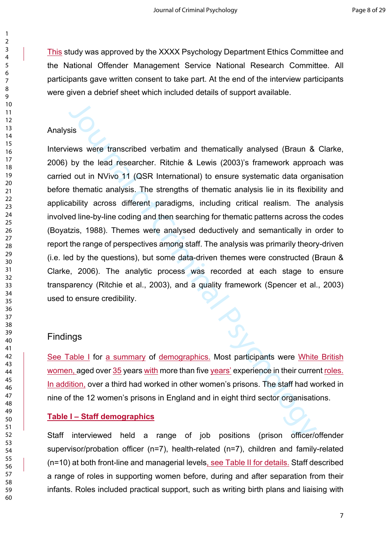This study was approved by the XXXX Psychology Department Ethics Committee and the National Offender Management Service National Research Committee. All participants gave written consent to take part. At the end of the interview participants were given a debrief sheet which included details of support available.

# Analysis

sis<br>
sis<br>
siews were transcribed verbatim and thematically analysed (Braun &<br>
by the lead researcher. Ritchie & Lewis (2003)'s framework approach<br>
d out in NVivo 11 (QSR International) to ensure systematic data orga<br>
thema Interviews were transcribed verbatim and thematically analysed (Braun & Clarke, 2006) by the lead researcher. Ritchie & Lewis (2003)'s framework approach was carried out in NVivo 11 (QSR International) to ensure systematic data organisation before thematic analysis. The strengths of thematic analysis lie in its flexibility and applicability across different paradigms, including critical realism. The analysis involved line-by-line coding and then searching for thematic patterns across the codes (Boyatzis, 1988). Themes were analysed deductively and semantically in order to report the range of perspectives among staff. The analysis was primarily theory-driven (i.e. led by the questions), but some data-driven themes were constructed (Braun & Clarke, 2006). The analytic process was recorded at each stage to ensure transparency (Ritchie et al., 2003), and a quality framework (Spencer et al., 2003) used to ensure credibility.

# Findings

See Table I for a summary of demographics. Most participants were White British women, aged over 35 years with more than five years' experience in their current roles. In addition, over a third had worked in other women's prisons. The staff had worked in nine of the 12 women's prisons in England and in eight third sector organisations.

## **Table I – Staff demographics**

Staff interviewed held a range of job positions (prison officer/offender supervisor/probation officer (n=7), health-related (n=7), children and family-related (n=10) at both front-line and managerial levels, see Table II for details. Staff described a range of roles in supporting women before, during and after separation from their infants. Roles included practical support, such as writing birth plans and liaising with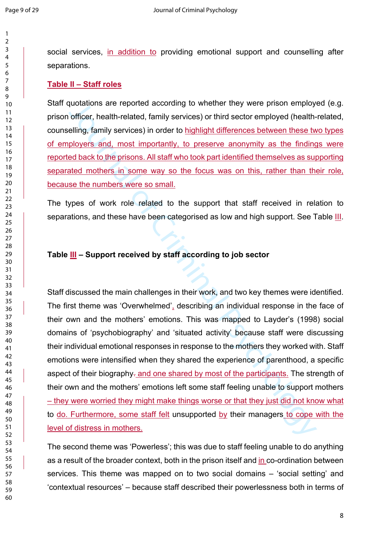social services, in addition to providing emotional support and counselling after separations.

#### **Table II – Staff roles**

Staff quotations are reported according to whether they were prison employed (e.g. prison officer, health-related, family services) or third sector employed (health-related, counselling, family services) in order to highlight differences between these two types of employers and, most importantly, to preserve anonymity as the findings were reported back to the prisons. All staff who took part identified themselves as supporting separated mothers in some way so the focus was on this, rather than their role, because the numbers were so small.

The types of work role related to the support that staff received in relation to separations, and these have been categorised as low and high support. See Table III.

#### **Table III – Support received by staff according to job sector**

quotations are reported according to whether they were prison employs<br>officer, health-related, family services) or third sector employed (health-<br>elling, family services) in order to highlight differences between these two Staff discussed the main challenges in their work, and two key themes were identified. The first theme was 'Overwhelmed', describing an individual response in the face of their own and the mothers' emotions. This was mapped to Layder's (1998) social domains of 'psychobiography' and 'situated activity' because staff were discussing their individual emotional responses in response to the mothers they worked with. Staff emotions were intensified when they shared the experience of parenthood, a specific aspect of their biography- and one shared by most of the participants. The strength of their own and the mothers' emotions left some staff feeling unable to support mothers – they were worried they might make things worse or that they just did not know what to do. Furthermore, some staff felt unsupported by their managers to cope with the level of distress in mothers.

The second theme was 'Powerless'; this was due to staff feeling unable to do anything as a result of the broader context, both in the prison itself and in co-ordination between services. This theme was mapped on to two social domains – 'social setting' and 'contextual resources' – because staff described their powerlessness both in terms of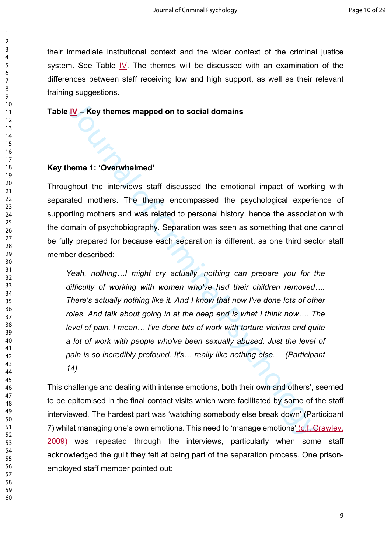their immediate institutional context and the wider context of the criminal justice system. See Table IV. The themes will be discussed with an examination of the differences between staff receiving low and high support, as well as their relevant training suggestions.

#### **Table IV – Key themes mapped on to social domains**

#### **Key theme 1: 'Overwhelmed'**

Throughout the interviews staff discussed the emotional impact of working with separated mothers. The theme encompassed the psychological experience of supporting mothers and was related to personal history, hence the association with the domain of psychobiography. Separation was seen as something that one cannot be fully prepared for because each separation is different, as one third sector staff member described:

IV – Key themes mapped on to social domains<br>
enee 1: 'Overwhelmed'<br>
ghout the interviews staff discussed the emotional impact of worki<br>
ated mothers. The theme encompassed the psychological experienting<br>
mothers and was r *Yeah, nothing…I might cry actually, nothing can prepare you for the difficulty of working with women who've had their children removed…. There's actually nothing like it. And I know that now I've done lots of other roles. And talk about going in at the deep end is what I think now…. The level of pain, I mean… I've done bits of work with torture victims and quite a lot of work with people who've been sexually abused. Just the level of pain is so incredibly profound. It's… really like nothing else. (Participant 14)*

This challenge and dealing with intense emotions, both their own and others', seemed to be epitomised in the final contact visits which were facilitated by some of the staff interviewed. The hardest part was 'watching somebody else break down' (Participant 7) whilst managing one's own emotions. This need to 'manage emotions' (c.f. Crawley, 2009) was repeated through the interviews, particularly when some staff acknowledged the guilt they felt at being part of the separation process. One prisonemployed staff member pointed out: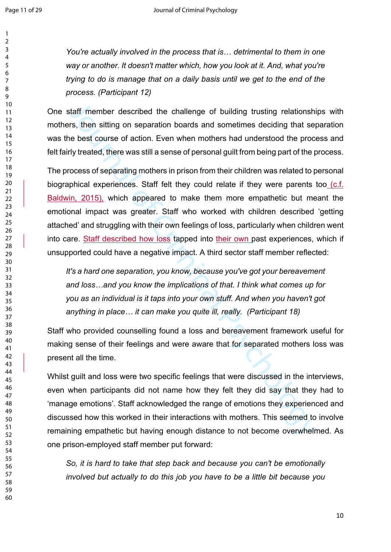*You're actually involved in the process that is… detrimental to them in one way or another. It doesn't matter which, how you look at it. And, what you're trying to do is manage that on a daily basis until we get to the end of the process. (Participant 12)*

One staff member described the challenge of building trusting relationships with mothers, then sitting on separation boards and sometimes deciding that separation was the best course of action. Even when mothers had understood the process and felt fairly treated, there was still a sense of personal guilt from being part of the process.

staff member described the challenge of building trusting relationships, then sitting on separation boards and sometimes deciding that sepe best course of action. Even when mothers had understood the procedy ty treated, th The process of separating mothers in prison from their children was related to personal biographical experiences. Staff felt they could relate if they were parents too (c.f. Baldwin, 2015), which appeared to make them more empathetic but meant the emotional impact was greater. Staff who worked with children described 'getting attached' and struggling with their own feelings of loss, particularly when children went into care. Staff described how loss tapped into their own past experiences, which if unsupported could have a negative impact. A third sector staff member reflected:

*It's a hard one separation, you know, because you've got your bereavement and loss…and you know the implications of that. I think what comes up for you as an individual is it taps into your own stuff. And when you haven't got anything in place… it can make you quite ill, really. (Participant 18)*

Staff who provided counselling found a loss and bereavement framework useful for making sense of their feelings and were aware that for separated mothers loss was present all the time.

Whilst guilt and loss were two specific feelings that were discussed in the interviews, even when participants did not name how they felt they did say that they had to 'manage emotions'. Staff acknowledged the range of emotions they experienced and discussed how this worked in their interactions with mothers. This seemed to involve remaining empathetic but having enough distance to not become overwhelmed. As one prison-employed staff member put forward:

*So, it is hard to take that step back and because you can't be emotionally involved but actually to do this job you have to be a little bit because you*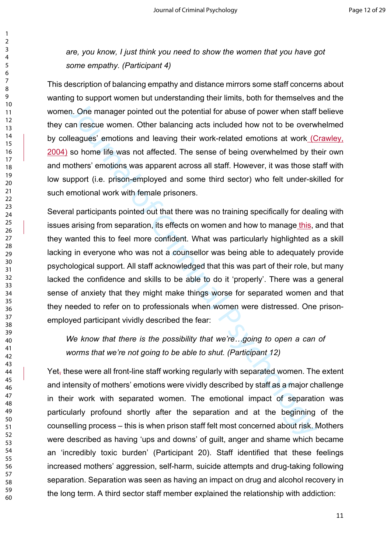*are, you know, I just think you need to show the women that you have got some empathy. (Participant 4)*

This description of balancing empathy and distance mirrors some staff concerns about wanting to support women but understanding their limits, both for themselves and the women. One manager pointed out the potential for abuse of power when staff believe they can rescue women. Other balancing acts included how not to be overwhelmed by colleagues' emotions and leaving their work-related emotions at work (Crawley, 2004) so home life was not affected. The sense of being overwhelmed by their own and mothers' emotions was apparent across all staff. However, it was those staff with low support (i.e. prison-employed and some third sector) who felt under-skilled for such emotional work with female prisoners.

In Comparison of the potential for abuse of power when staff an rescue women. Other balancing acts included how not to be overwheagues' emotions and leaving their work-related emotions at work. (Cso home life was not affe Several participants pointed out that there was no training specifically for dealing with issues arising from separation, its effects on women and how to manage this, and that they wanted this to feel more confident. What was particularly highlighted as a skill lacking in everyone who was not a counsellor was being able to adequately provide psychological support. All staff acknowledged that this was part of their role, but many lacked the confidence and skills to be able to do it 'properly'. There was a general sense of anxiety that they might make things worse for separated women and that they needed to refer on to professionals when women were distressed. One prisonemployed participant vividly described the fear:

*We know that there is the possibility that we're…going to open a can of worms that we're not going to be able to shut. (Participant 12)* 

Yet, these were all front-line staff working regularly with separated women. The extent and intensity of mothers' emotions were vividly described by staff as a major challenge in their work with separated women. The emotional impact of separation was particularly profound shortly after the separation and at the beginning of the counselling process – this is when prison staff felt most concerned about risk. Mothers were described as having 'ups and downs' of guilt, anger and shame which became an 'incredibly toxic burden' (Participant 20). Staff identified that these feelings increased mothers' aggression, self-harm, suicide attempts and drug-taking following separation. Separation was seen as having an impact on drug and alcohol recovery in the long term. A third sector staff member explained the relationship with addiction: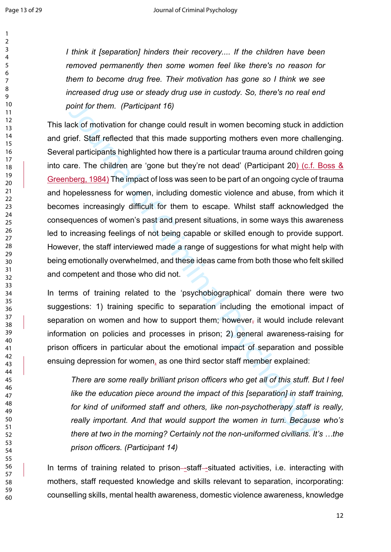*I think it [separation] hinders their recovery.... If the children have been removed permanently then some women feel like there's no reason for them to become drug free. Their motivation has gone so I think we see increased drug use or steady drug use in custody. So, there's no real end point for them. (Participant 16)*

isoint for them. (Participant 16)<br>sick of motivation for change could result in women becoming stuck in a<br>rief. Staff reflected that this made supporting mothers even more chall<br>al participants highlighted how there is a p This lack of motivation for change could result in women becoming stuck in addiction and grief. Staff reflected that this made supporting mothers even more challenging. Several participants highlighted how there is a particular trauma around children going into care. The children are 'gone but they're not dead' (Participant 20) (c.f. Boss & Greenberg, 1984) The impact of loss was seen to be part of an ongoing cycle of trauma and hopelessness for women, including domestic violence and abuse, from which it becomes increasingly difficult for them to escape. Whilst staff acknowledged the consequences of women's past and present situations, in some ways this awareness led to increasing feelings of not being capable or skilled enough to provide support. However, the staff interviewed made a range of suggestions for what might help with being emotionally overwhelmed, and these ideas came from both those who felt skilled and competent and those who did not.

In terms of training related to the 'psychobiographical' domain there were two suggestions: 1) training specific to separation including the emotional impact of separation on women and how to support them; however, it would include relevant information on policies and processes in prison; 2) general awareness-raising for prison officers in particular about the emotional impact of separation and possible ensuing depression for women, as one third sector staff member explained:

*There are some really brilliant prison officers who get all of this stuff. But I feel like the education piece around the impact of this [separation] in staff training, for kind of uniformed staff and others, like non-psychotherapy staff is really, really important. And that would support the women in turn. Because who's there at two in the morning? Certainly not the non-uniformed civilians. It's …the prison officers. (Participant 14)*

In terms of training related to prison--staff--situated activities, i.e. interacting with mothers, staff requested knowledge and skills relevant to separation, incorporating: counselling skills, mental health awareness, domestic violence awareness, knowledge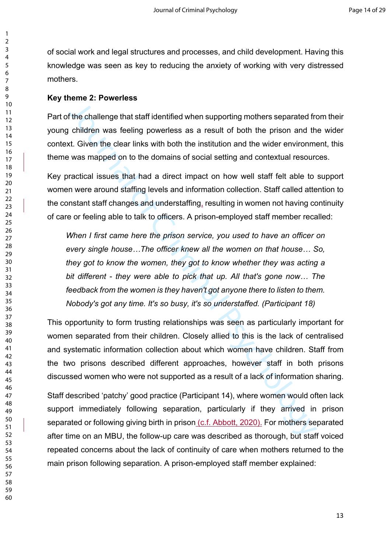of social work and legal structures and processes, and child development. Having this knowledge was seen as key to reducing the anxiety of working with very distressed mothers.

#### **Key theme 2: Powerless**

Part of the challenge that staff identified when supporting mothers separated from their young children was feeling powerless as a result of both the prison and the wider context. Given the clear links with both the institution and the wider environment, this theme was mapped on to the domains of social setting and contextual resources.

Key practical issues that had a direct impact on how well staff felt able to support women were around staffing levels and information collection. Staff called attention to the constant staff changes and understaffing, resulting in women not having continuity of care or feeling able to talk to officers. A prison-employed staff member recalled:

f the challenge that staff identified when supporting mothers separated frictilidren was feeling powerless as a result of both the prison and the challenge that staff identified when supporting mothers eparated frictididre *When I first came here the prison service, you used to have an officer on every single house…The officer knew all the women on that house… So, they got to know the women, they got to know whether they was acting a bit different - they were able to pick that up. All that's gone now… The feedback from the women is they haven't got anyone there to listen to them. Nobody's got any time. It's so busy, it's so understaffed. (Participant 18)*

This opportunity to form trusting relationships was seen as particularly important for women separated from their children. Closely allied to this is the lack of centralised and systematic information collection about which women have children. Staff from the two prisons described different approaches, however staff in both prisons discussed women who were not supported as a result of a lack of information sharing.

Staff described 'patchy' good practice (Participant 14), where women would often lack support immediately following separation, particularly if they arrived in prison separated or following giving birth in prison (c.f. Abbott, 2020). For mothers separated after time on an MBU, the follow-up care was described as thorough, but staff voiced repeated concerns about the lack of continuity of care when mothers returned to the main prison following separation. A prison-employed staff member explained: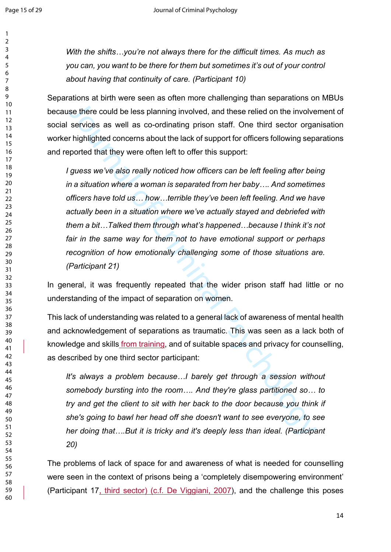*With the shifts…you're not always there for the difficult times. As much as you can, you want to be there for them but sometimes it's out of your control about having that continuity of care. (Participant 10)*

Separations at birth were seen as often more challenging than separations on MBUs because there could be less planning involved, and these relied on the involvement of social services as well as co-ordinating prison staff. One third sector organisation worker highlighted concerns about the lack of support for officers following separations and reported that they were often left to offer this support:

se there could be less planning involved, and these relied on the involver<br>services as well as co-ordinating prison staff. One third sector orga<br>rhighlighted concerns about the lack of support for officers following separa *I* guess we've also really noticed how officers can be left feeling after being *in a situation where a woman is separated from her baby…. And sometimes officers have told us… how…terrible they've been left feeling. And we have actually been in a situation where we've actually stayed and debriefed with them a bit…Talked them through what's happened…because I think it's not fair in the same way for them not to have emotional support or perhaps recognition of how emotionally challenging some of those situations are. (Participant 21)*

In general, it was frequently repeated that the wider prison staff had little or no understanding of the impact of separation on women.

This lack of understanding was related to a general lack of awareness of mental health and acknowledgement of separations as traumatic. This was seen as a lack both of knowledge and skills from training, and of suitable spaces and privacy for counselling, as described by one third sector participant:

*It's always a problem because…I barely get through a session without somebody bursting into the room…. And they're glass partitioned so… to try and get the client to sit with her back to the door because you think if she's going to bawl her head off she doesn't want to see everyone, to see her doing that….But it is tricky and it's deeply less than ideal. (Participant 20)*

The problems of lack of space for and awareness of what is needed for counselling were seen in the context of prisons being a 'completely disempowering environment' (Participant 17, third sector) (c.f. De Viggiani, 2007), and the challenge this poses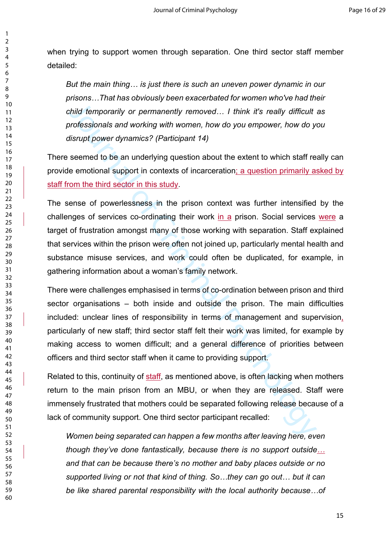when trying to support women through separation. One third sector staff member detailed:

*But the main thing… is just there is such an uneven power dynamic in our prisons…That has obviously been exacerbated for women who've had their child temporarily or permanently removed… I think it's really difficult as professionals and working with women, how do you empower, how do you disrupt power dynamics? (Participant 14)*

There seemed to be an underlying question about the extent to which staff really can provide emotional support in contexts of incarceration; a question primarily asked by staff from the third sector in this study.

The sense of powerlessness in the prison context was further intensified by the challenges of services co-ordinating their work in a prison. Social services were a target of frustration amongst many of those working with separation. Staff explained that services within the prison were often not joined up, particularly mental health and substance misuse services, and work could often be duplicated, for example, in gathering information about a woman's family network.

isting the may be the main and the may also the main of the main of the main of the main of the main of the main of the main of the main of the main of the main of the main of the main of the main of the main of the emotio There were challenges emphasised in terms of co-ordination between prison and third sector organisations – both inside and outside the prison. The main difficulties included: unclear lines of responsibility in terms of management and supervision, particularly of new staff; third sector staff felt their work was limited, for example by making access to women difficult; and a general difference of priorities between officers and third sector staff when it came to providing support.

Related to this, continuity of staff, as mentioned above, is often lacking when mothers return to the main prison from an MBU, or when they are released. Staff were immensely frustrated that mothers could be separated following release because of a lack of community support. One third sector participant recalled:

*Women being separated can happen a few months after leaving here, even though they've done fantastically, because there is no support outside… and that can be because there's no mother and baby places outside or no supported living or not that kind of thing. So…they can go out… but it can be like shared parental responsibility with the local authority because…of*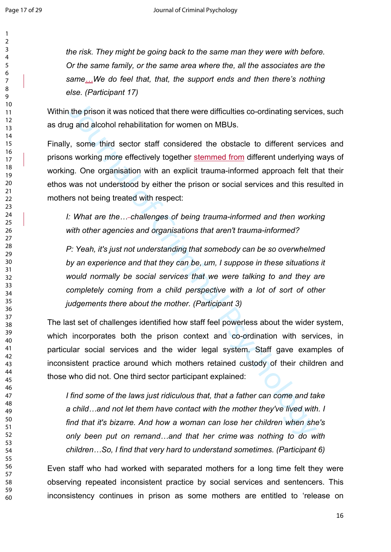*the risk. They might be going back to the same man they were with before. Or the same family, or the same area where the, all the associates are the same…We do feel that, that, the support ends and then there's nothing else. (Participant 17)*

Within the prison it was noticed that there were difficulties co-ordinating services, such as drug and alcohol rehabilitation for women on MBUs.

Finally, some third sector staff considered the obstacle to different services and prisons working more effectively together stemmed from different underlying ways of working. One organisation with an explicit trauma-informed approach felt that their ethos was not understood by either the prison or social services and this resulted in mothers not being treated with respect:

*I: What are the… challenges of being trauma-informed and then working with other agencies and organisations that aren't trauma-informed?* 

*P: Yeah, it's just not understanding that somebody can be so overwhelmed by an experience and that they can be, um, I suppose in these situations it would normally be social services that we were talking to and they are completely coming from a child perspective with a lot of sort of other judgements there about the mother. (Participant 3)*

the prison it was noticed that there were difficulties co-ordinating service<br>or g and alcohol rehabilitation for women on MBUs.<br>
Y, some third sector staff considered the obstacle to different servic<br>
s working more effect The last set of challenges identified how staff feel powerless about the wider system, which incorporates both the prison context and co-ordination with services, in particular social services and the wider legal system. Staff gave examples of inconsistent practice around which mothers retained custody of their children and those who did not. One third sector participant explained:

*I find some of the laws just ridiculous that, that a father can come and take a child…and not let them have contact with the mother they've lived with. I find that it's bizarre. And how a woman can lose her children when she's only been put on remand…and that her crime was nothing to do with children…So, I find that very hard to understand sometimes. (Participant 6)* 

Even staff who had worked with separated mothers for a long time felt they were observing repeated inconsistent practice by social services and sentencers. This inconsistency continues in prison as some mothers are entitled to 'release on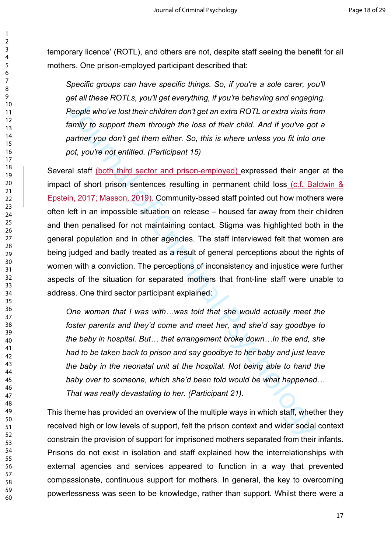temporary licence' (ROTL), and others are not, despite staff seeing the benefit for all mothers. One prison-employed participant described that:

*Specific groups can have specific things. So, if you're a sole carer, you'll get all these ROTLs, you'll get everything, if you're behaving and engaging. People who've lost their children don't get an extra ROTL or extra visits from family to support them through the loss of their child. And if you've got a partner you don't get them either. So, this is where unless you fit into one pot, you're not entitled. (Participant 15)*

People who've lost their children don't get an extra ROTL or extra visits from<br>People who've lost their children don't get an extra ROTL or extra visits from<br>Imply to support them through the loss of their child. And if yo Several staff (both third sector and prison-employed) expressed their anger at the impact of short prison sentences resulting in permanent child loss (c.f. Baldwin & Epstein, 2017; Masson, 2019). Community-based staff pointed out how mothers were often left in an impossible situation on release – housed far away from their children and then penalised for not maintaining contact. Stigma was highlighted both in the general population and in other agencies. The staff interviewed felt that women are being judged and badly treated as a result of general perceptions about the rights of women with a conviction. The perceptions of inconsistency and injustice were further aspects of the situation for separated mothers that front-line staff were unable to address. One third sector participant explained:

*One woman that I was with…was told that she would actually meet the foster parents and they'd come and meet her, and she'd say goodbye to the baby in hospital. But… that arrangement broke down…In the end, she had to be taken back to prison and say goodbye to her baby and just leave the baby in the neonatal unit at the hospital. Not being able to hand the baby over to someone, which she'd been told would be what happened… That was really devastating to her. (Participant 21).*

This theme has provided an overview of the multiple ways in which staff, whether they received high or low levels of support, felt the prison context and wider social context constrain the provision of support for imprisoned mothers separated from their infants. Prisons do not exist in isolation and staff explained how the interrelationships with external agencies and services appeared to function in a way that prevented compassionate, continuous support for mothers. In general, the key to overcoming powerlessness was seen to be knowledge, rather than support. Whilst there were a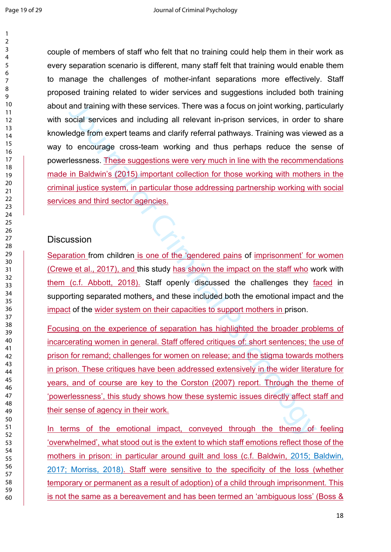and training with these services. There was a focus on joint working, par<br>
ocial services and including all relevant in-prison services, in order tredge from expert teams and clarify referral pathways. Training was view<br>
o couple of members of staff who felt that no training could help them in their work as every separation scenario is different, many staff felt that training would enable them to manage the challenges of mother-infant separations more effectively. Staff proposed training related to wider services and suggestions included both training about and training with these services. There was a focus on joint working, particularly with social services and including all relevant in-prison services, in order to share knowledge from expert teams and clarify referral pathways. Training was viewed as a way to encourage cross-team working and thus perhaps reduce the sense of powerlessness. These suggestions were very much in line with the recommendations made in Baldwin's (2015) important collection for those working with mothers in the criminal justice system, in particular those addressing partnership working with social services and third sector agencies.

# **Discussion**

Separation from children is one of the 'gendered pains of imprisonment' for women (Crewe et al., 2017), and this study has shown the impact on the staff who work with them (c.f. Abbott, 2018). Staff openly discussed the challenges they faced in supporting separated mothers, and these included both the emotional impact and the impact of the wider system on their capacities to support mothers in prison.

Focusing on the experience of separation has highlighted the broader problems of incarcerating women in general. Staff offered critiques of: short sentences; the use of prison for remand; challenges for women on release; and the stigma towards mothers in prison. These critiques have been addressed extensively in the wider literature for years, and of course are key to the Corston (2007) report. Through the theme of 'powerlessness', this study shows how these systemic issues directly affect staff and their sense of agency in their work.

In terms of the emotional impact, conveyed through the theme of feeling 'overwhelmed', what stood out is the extent to which staff emotions reflect those of the mothers in prison: in particular around guilt and loss (c.f. Baldwin, 2015; Baldwin, 2017; Morriss, 2018). Staff were sensitive to the specificity of the loss (whether temporary or permanent as a result of adoption) of a child through imprisonment. This is not the same as a bereavement and has been termed an 'ambiguous loss' (Boss &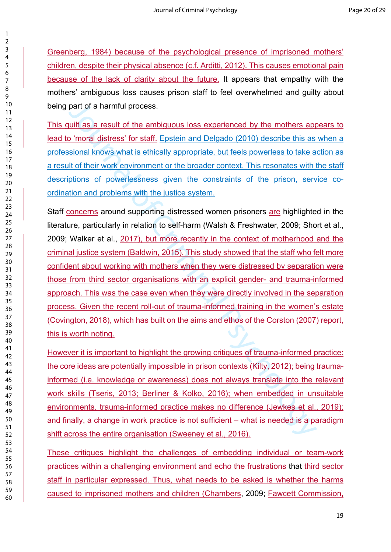Greenberg, 1984) because of the psychological presence of imprisoned mothers' children, despite their physical absence (c.f. Arditti, 2012). This causes emotional pain because of the lack of clarity about the future. It appears that empathy with the mothers' ambiguous loss causes prison staff to feel overwhelmed and guilty about being part of a harmful process.

This guilt as a result of the ambiguous loss experienced by the mothers appears to lead to 'moral distress' for staff. Epstein and Delgado (2010) describe this as when a professional knows what is ethically appropriate, but feels powerless to take action as a result of their work environment or the broader context. This resonates with the staff descriptions of powerlessness given the constraints of the prison, service coordination and problems with the justice system.

part of a harmful process.<br>
puilt as a result of the ambiguous loss experienced by the mothers app<br>
o 'moral distress' for staff. Epstein and Delgado (2010) describe this as<br>
sional knows what is ethically appropriate, but Staff concerns around supporting distressed women prisoners are highlighted in the literature, particularly in relation to self-harm (Walsh & Freshwater, 2009; Short et al., 2009; Walker et al., 2017), but more recently in the context of motherhood and the criminal justice system (Baldwin, 2015). This study showed that the staff who felt more confident about working with mothers when they were distressed by separation were those from third sector organisations with an explicit gender- and trauma-informed approach. This was the case even when they were directly involved in the separation process. Given the recent roll-out of trauma-informed training in the women's estate (Covington, 2018), which has built on the aims and ethos of the Corston (2007) report, this is worth noting.

However it is important to highlight the growing critiques of trauma-informed practice: the core ideas are potentially impossible in prison contexts (Kilty, 2012); being traumainformed (i.e. knowledge or awareness) does not always translate into the relevant work skills (Tseris, 2013; Berliner & Kolko, 2016); when embedded in unsuitable environments, trauma-informed practice makes no difference (Jewkes et al., 2019); and finally, a change in work practice is not sufficient – what is needed is a paradigm shift across the entire organisation (Sweeney et al., 2016).

These critiques highlight the challenges of embedding individual or team-work practices within a challenging environment and echo the frustrations that third sector staff in particular expressed. Thus, what needs to be asked is whether the harms caused to imprisoned mothers and children (Chambers, 2009; Fawcett Commission,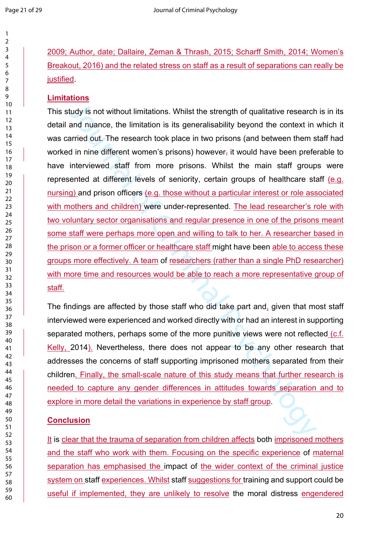2009; Author, date; Dallaire, Zeman & Thrash, 2015; Scharff Smith, 2014; Women's Breakout, 2016) and the related stress on staff as a result of separations can really be justified.

### **Limitations**

tudy is not without limitations. Whilst the strength of qualitative research and nuance, the limitation is its generalisability beyond the context in arried out. The research took place in two prisons (and between them s<br>a This study is not without limitations. Whilst the strength of qualitative research is in its detail and nuance, the limitation is its generalisability beyond the context in which it was carried out. The research took place in two prisons (and between them staff had worked in nine different women's prisons) however, it would have been preferable to have interviewed staff from more prisons. Whilst the main staff groups were represented at different levels of seniority, certain groups of healthcare staff (e.g. nursing) and prison officers (e.g. those without a particular interest or role associated with mothers and children) were under-represented. The lead researcher's role with two voluntary sector organisations and regular presence in one of the prisons meant some staff were perhaps more open and willing to talk to her. A researcher based in the prison or a former officer or healthcare staff might have been able to access these groups more effectively. A team of researchers (rather than a single PhD researcher) with more time and resources would be able to reach a more representative group of staff.

The findings are affected by those staff who did take part and, given that most staff interviewed were experienced and worked directly with or had an interest in supporting separated mothers, perhaps some of the more punitive views were not reflected (c.f. Kelly, 2014). Nevertheless, there does not appear to be any other research that addresses the concerns of staff supporting imprisoned mothers separated from their children. Finally, the small-scale nature of this study means that further research is needed to capture any gender differences in attitudes towards separation and to explore in more detail the variations in experience by staff group.

## **Conclusion**

It is clear that the trauma of separation from children affects both imprisoned mothers and the staff who work with them. Focusing on the specific experience of maternal separation has emphasised the impact of the wider context of the criminal justice system on staff experiences. Whilst staff suggestions for training and support could be useful if implemented, they are unlikely to resolve the moral distress engendered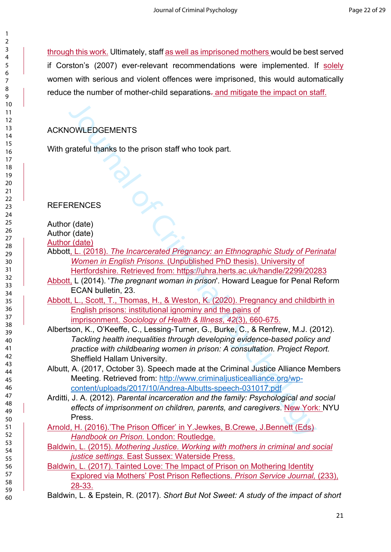> through this work. Ultimately, staff as well as imprisoned mothers would be best served if Corston's (2007) ever-relevant recommendations were implemented. If solely women with serious and violent offences were imprisoned, this would automatically reduce the number of mother-child separations. and mitigate the impact on staff.

# ACKNOWLEDGEMENTS

With grateful thanks to the prison staff who took part.

**REFERENCES** 

Author (date)

Author (date) Author (date)

- Abbott, L. (2018). *The Incarcerated Pregnancy: an Ethnographic Study of Perinatal Women in English Prisons.* (Unpublished PhD thesis). University of Hertfordshire. Retrieved from: https://uhra.herts.ac.uk/handle/2299/20283
- Abbott, L (2014). '*The pregnant woman in prison*'. Howard League for Penal Reform ECAN bulletin, 23.
- Abbott, L., Scott, T., Thomas, H., & Weston, K. (2020). Pregnancy and childbirth in English prisons: institutional ignominy and the pains of

imprisonment. *Sociology of Health & Illness*, *42*(3), 660-675.

- COMLEDGEMENTS<br>
Trateful thanks to the prison staff who took part.<br>
Trateful thanks to the prison staff who took part.<br>
Trateful (date)<br>
(date)<br>
The *Incarcerated Pregnancy: an Ethnographic Study of Perfordshire. Retirvesto* Albertson, K., O'Keeffe, C., Lessing-Turner, G., Burke, C., & Renfrew, M.J. (2012). *Tackling health inequalities through developing evidence-based policy and practice with childbearing women in prison: A consultation. Project Report.*  Sheffield Hallam University.
- Albutt, A. (2017, October 3). Speech made at the Criminal Justice Alliance Members Meeting. Retrieved from: http://www.criminaljusticealliance.org/wpcontent/uploads/2017/10/Andrea-Albutts-speech-031017.pdf
- Arditti, J. A. (2012). *Parental incarceration and the family: Psychological and social effects of imprisonment on children, parents, and caregivers*. New York: NYU Press.
- Arnold, H. (2016).'The Prison Officer' in Y.Jewkes, B.Crewe, J.Bennett (Eds) *Handbook on Prison.* London: Routledge.
- Baldwin, L. (2015). *Mothering Justice. Working with mothers in criminal and social justice settings.* East Sussex: Waterside Press.
- Baldwin, L. (2017). Tainted Love: The Impact of Prison on Mothering Identity Explored via Mothers' Post Prison Reflections. *Prison Service Journal,* (233), 28-33.
- Baldwin, L. & Epstein, R. (2017). *Short But Not Sweet: A study of the impact of short*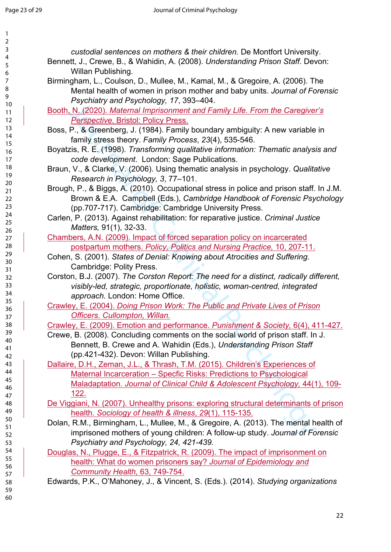| 2                            |
|------------------------------|
| 3                            |
|                              |
| 4                            |
| 5                            |
| 6                            |
|                              |
|                              |
| 8                            |
| $\mathbf$<br>)               |
|                              |
| 10                           |
| 1<br>$\mathbf{1}$            |
| 1<br>C                       |
| 13                           |
|                              |
| 4<br>1                       |
| 15                           |
| 16                           |
|                              |
| 17                           |
| 18                           |
| 19                           |
|                              |
| 20                           |
| $\overline{21}$              |
| $\overline{2}$<br>C          |
| 23                           |
|                              |
| $\frac{24}{5}$               |
| 25                           |
| 26                           |
|                              |
| 27                           |
| 28                           |
| 29                           |
|                              |
| 30                           |
| $\overline{\textbf{3}}$      |
| $\overline{\mathbf{3}}$<br>, |
|                              |
| $\overline{\mathbf{3}}$<br>ξ |
| 34                           |
| 35                           |
|                              |
| 36                           |
| 37                           |
| 38                           |
|                              |
| $\frac{1}{2}$<br>J           |
| 40                           |
| 41                           |
| 42                           |
|                              |
| 4.<br>ξ                      |
| 44                           |
| 45                           |
|                              |
| 46                           |
| 47                           |
| 48                           |
|                              |
| 49                           |
| 50                           |
| 51                           |
|                              |
| 5.<br>$\overline{2}$         |
| 5.<br>ξ                      |
| 54                           |
|                              |
| 55                           |
| 56                           |
| 57                           |
| 58                           |
|                              |
| 59                           |
| 60                           |
|                              |

| custodial sentences on mothers & their children. De Montfort University.                |
|-----------------------------------------------------------------------------------------|
| Bennett, J., Crewe, B., & Wahidin, A. (2008). Understanding Prison Staff. Devon:        |
| Willan Publishing.                                                                      |
| Birmingham, L., Coulson, D., Mullee, M., Kamal, M., & Gregoire, A. (2006). The          |
| Mental health of women in prison mother and baby units. Journal of Forensic             |
| Psychiatry and Psychology, 17, 393-404.                                                 |
| Booth, N. (2020). Maternal Imprisonment and Family Life. From the Caregiver's           |
| Perspective. Bristol: Policy Press.                                                     |
| Boss, P., & Greenberg, J. (1984). Family boundary ambiguity: A new variable in          |
| family stress theory. Family Process, 23(4), 535-546.                                   |
| Boyatzis, R. E. (1998). Transforming qualitative information: Thematic analysis and     |
| code development. London: Sage Publications.                                            |
| Braun, V., & Clarke, V. (2006). Using thematic analysis in psychology. Qualitative      |
| Research in Psychology, 3, 77-101.                                                      |
| Brough, P., & Biggs, A. (2010). Occupational stress in police and prison staff. In J.M. |
| Brown & E.A. Campbell (Eds.), Cambridge Handbook of Forensic Psychology                 |
|                                                                                         |
| (pp.707-717). Cambridge: Cambridge University Press.                                    |
| Carlen, P. (2013). Against rehabilitation: for reparative justice. Criminal Justice     |
| <i>Matters, 91(1), 32-33.</i>                                                           |
| Chambers, A.N. (2009). Impact of forced separation policy on incarcerated               |
| postpartum mothers. Policy, Politics and Nursing Practice, 10, 207-11.                  |
| Cohen, S. (2001). States of Denial: Knowing about Atrocities and Suffering.             |
| Cambridge: Polity Press.                                                                |
| Corston, B.J. (2007). The Corston Report: The need for a distinct, radically different, |
| visibly-led, strategic, proportionate, holistic, woman-centred, integrated              |
| approach. London: Home Office.                                                          |
| Crawley, E. (2004). Doing Prison Work: The Public and Private Lives of Prison           |
| Officers. Cullompton, Willan.                                                           |
| Crawley, E. (2009). Emotion and performance. Punishment & Society, 6(4), 411-427.       |
| Crewe, B. (2008). Concluding comments on the social world of prison staff. In J.        |
| Bennett, B. Crewe and A. Wahidin (Eds.), Understanding Prison Staff                     |
| (pp.421-432). Devon: Willan Publishing.                                                 |
| Dallaire, D.H., Zeman, J.L., & Thrash, T.M. (2015). Children's Experiences of           |
| Maternal Incarceration - Specfic Risks: Predictions to Psychological                    |
| Maladaptation. Journal of Clinical Child & Adolescent Psychology, 44(1), 109-           |
| 122.                                                                                    |
|                                                                                         |
|                                                                                         |
| De Viggiani, N. (2007). Unhealthy prisons: exploring structural determinants of prison  |
| health. Sociology of health & illness, 29(1), 115-135.                                  |
| Dolan, R.M., Birmingham, L., Mullee, M., & Gregoire, A. (2013). The mental health of    |
| imprisoned mothers of young children: A follow-up study. Journal of Forensic            |
| Psychiatry and Psychology, 24, 421-439.                                                 |
| Douglas, N., Plugge, E., & Fitzpatrick, R. (2009). The impact of imprisonment on        |
| health: What do women prisoners say? Journal of Epidemiology and                        |
| Community Health, 63, 749-754.                                                          |
| Edwards, P.K., O'Mahoney, J., & Vincent, S. (Eds.). (2014). Studying organizations      |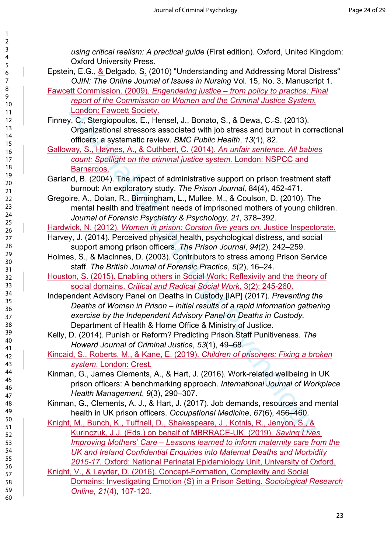*using critical realism: A practical guide* (First edition). Oxford, United Kingdom: Oxford University Press.

- Epstein, E.G., & Delgado, S. (2010) "Understanding and Addressing Moral Distress" *OJIN: The Online Journal of Issues in Nursing* Vol. 15, No. 3, Manuscript 1.
- Fawcett Commission. (2009). *Engendering justice from policy to practice: Final report of the Commission on Women and the Criminal Justice System.*  London: Fawcett Society.
- Finney, C., Stergiopoulos, E., Hensel, J., Bonato, S., & Dewa, C. S. (2013). Organizational stressors associated with job stress and burnout in correctional officers: a systematic review. *BMC Public Health*, *13*(1), 82.
- Galloway, S., Haynes, A., & Cuthbert, C. (2014). *An unfair sentence. All babies count: Spotlight on the criminal justice system.* London: NSPCC and Barnardos.
- Garland, B. (2004). The impact of administrative support on prison treatment staff burnout: An exploratory study. *The Prison Journal,* 84(4), 452-471.
- Gregoire, A., Dolan, R., Birmingham, L., Mullee, M., & Coulson, D. (2010). The mental health and treatment needs of imprisoned mothers of young children. *Journal of Forensic Psychiatry & Psychology, 21*, 378–392.
- Hardwick, N. (2012). *Women in prison: Corston five years on.* Justice Inspectorate.
- Harvey, J. (2014). Perceived physical health, psychological distress, and social support among prison officers. *The Prison Journal*, *94*(2), 242–259.
- Holmes, S., & Maclnnes, D. (2003). Contributors to stress among Prison Service staff. *The British Journal of Forensic Practice*, *5*(2), 16–24.
- Houston, S. (2015). Enabling others in Social Work: Reflexivity and the theory of social domains. *Critical and Radical Social Work,* 3(2): 245-260.
- For the Commission of Criminal die Chriminal Justice System,<br>
London: Favorell Society.<br>
U.C., C., Stergiopoluos, E., Hensel, J., Bonato, S., & Dewa, C.S., (2013).<br>
Organizational stressors associated with job stress and b Independent Advisory Panel on Deaths in Custody [IAP] (2017). *Preventing the Deaths of Women in Prison – initial results of a rapid information gathering exercise by the Independent Advisory Panel on Deaths in Custody.*  Department of Health & Home Office & Ministry of Justice.
- Kelly, D. (2014). Punish or Reform? Predicting Prison Staff Punitiveness. *The Howard Journal of Criminal Justice*, *53*(1), 49–68.
- Kincaid, S., Roberts, M., & Kane, E. (2019). *Children of prisoners: Fixing a broken system*. London: Crest.
- Kinman, G., James Clements, A., & Hart, J. (2016). Work-related wellbeing in UK prison officers: A benchmarking approach. *International Journal of Workplace Health Management*, *9*(3), 290–307.
- Kinman, G., Clements, A. J., & Hart, J. (2017). Job demands, resources and mental health in UK prison officers. *Occupational Medicine*, *67*(6), 456–460.
- Knight, M., Bunch, K., Tuffnell, D., Shakespeare, J., Kotnis, R., Jenyon, S., & Kurinczuk, J.J. (Eds.) on behalf of MBRRACE-UK. (2019). *Saving Lives, Improving Mothers' Care – Lessons learned to inform maternity care from the UK and Ireland Confidential Enquiries into Maternal Deaths and Morbidity 2015-17.* Oxford: National Perinatal Epidemiology Unit, University of Oxford.
- Knight, V., & Layder, D. (2016). Concept-Formation, Complexity and Social Domains: Investigating Emotion (S) in a Prison Setting. *Sociological Research Online*, *21*(4), 107-120.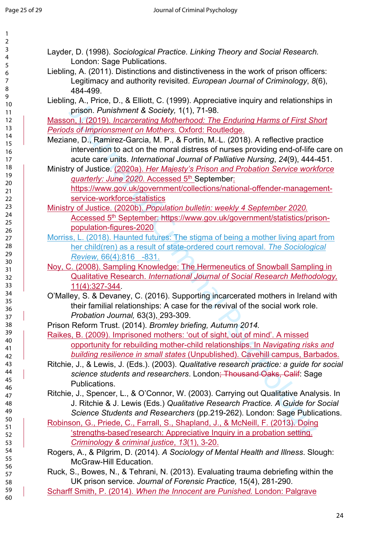| 2                                         |  |
|-------------------------------------------|--|
| 3                                         |  |
|                                           |  |
| 4                                         |  |
| 5                                         |  |
|                                           |  |
| 6                                         |  |
|                                           |  |
| 8                                         |  |
|                                           |  |
| 9                                         |  |
| 10                                        |  |
| 1<br>$\mathbf{1}$                         |  |
|                                           |  |
| 1.<br>$\overline{a}$                      |  |
| 13                                        |  |
| 4<br>1                                    |  |
|                                           |  |
| 15                                        |  |
| 16                                        |  |
| 1                                         |  |
|                                           |  |
| 18                                        |  |
| 19                                        |  |
|                                           |  |
| 20                                        |  |
| $\overline{21}$                           |  |
| $\overline{2}$<br>$\overline{2}$          |  |
|                                           |  |
| $^{23}$                                   |  |
| $\frac{24}{5}$                            |  |
| 25                                        |  |
|                                           |  |
| 26                                        |  |
| $^{27}$                                   |  |
| 28                                        |  |
|                                           |  |
| 29                                        |  |
| 30                                        |  |
|                                           |  |
| $\overline{\textbf{3}}$                   |  |
| $\overline{\mathbf{S}}$<br>$\overline{2}$ |  |
| $\overline{\mathbf{3}}$<br>3              |  |
|                                           |  |
| 34                                        |  |
| 35                                        |  |
|                                           |  |
| 36                                        |  |
| 37                                        |  |
| 38                                        |  |
|                                           |  |
| 39                                        |  |
| 40                                        |  |
| 41                                        |  |
|                                           |  |
| $\ddot{ }$<br>,                           |  |
| 43                                        |  |
| 44                                        |  |
|                                           |  |
| 45                                        |  |
| 46                                        |  |
| 47                                        |  |
|                                           |  |
| 48                                        |  |
| 49                                        |  |
| 50                                        |  |
|                                           |  |
| 51                                        |  |
| 5.<br>$\overline{2}$                      |  |
|                                           |  |
| 5.<br>3                                   |  |
| 54                                        |  |
| 55                                        |  |
|                                           |  |
| 56                                        |  |
| 57                                        |  |
| 58                                        |  |
|                                           |  |
| 59                                        |  |

60

Layder, D. (1998). *Sociological Practice. Linking Theory and Social Research.*  London: Sage Publications.

Liebling, A. (2011). Distinctions and distinctiveness in the work of prison officers: Legitimacy and authority revisited. *European Journal of Criminology*, *8*(6), 484-499.

Liebling, A., Price, D., & Elliott, C. (1999). Appreciative inquiry and relationships in prison. *Punishment & Society,* 1(1), 71-98.

Masson, I. (2019). *Incarcerating Motherhood: The Enduring Harms of First Short Periods of Imprionsment on Mothers.* Oxford: Routledge.

Meziane, D., Ramirez-Garcia, M. P., & Fortin, M. L. (2018). A reflective practice intervention to act on the moral distress of nurses providing end-of-life care on acute care units. *International Journal of Palliative Nursing*, *24*(9), 444-451.

Ministry of Justice. (2020a). *Her Majesty's Prison and Probation Service workforce quarterly: June 2020.* Accessed 5<sup>th</sup> September:

https://www.gov.uk/government/collections/national-offender-managementservice-workforce-statistics

- Ministry of Justice. (2020b). *Population bulletin: weekly 4 September 2020.*  Accessed 5th September: https://www.gov.uk/government/statistics/prisonpopulation-figures-2020
- Morriss, L. (2018). Haunted futures: The stigma of being a mother living apart from her child(ren) as a result of state-ordered court removal. *The Sociological Review,* 66(4):816 -831.
- ig. A., Pitte, U., & Landi, U. (1999). Applevative integring and relationship<br>grison. Punishment & Society, 1(1), 71-98.<br>D.m.1. (2019). Incarcerating Motherhood: The Enduring Harms of First Sh<br>of Highronsment on Mothers. O Noy, C. (2008). Sampling Knowledge: The Hermeneutics of Snowball Sampling in Qualitative Research. *International Journal of Social Research Methodology,*  11(4):327-344.
- O'Malley, S. & Devaney, C. (2016). Supporting incarcerated mothers in Ireland with their familial relationships: A case for the revival of the social work role. *Probation Journal,* 63(3), 293-309.
- Prison Reform Trust. (2014). *Bromley briefing, Autumn 2014.*
- Raikes, B. (2009). Imprisoned mothers: 'out of sight, out of mind'. A missed opportunity for rebuilding mother-child relationships. In *Navigating risks and building resilience in small states* (Unpublished). Cavehill campus, Barbados.
- Ritchie, J., & Lewis, J. (Eds.). (2003). *Qualitative research practice: a guide for social science students and researchers*. London; Thousand Oaks, Calif: Sage Publications.
- Ritchie, J., Spencer, L., & O'Connor, W. (2003). Carrying out Qualitative Analysis. In J. Ritchie & J. Lewis (Eds.) *Qualitative Research Practice. A Guide for Social Science Students and Researchers* (pp.219-262). London: Sage Publications.

Robinson, G., Priede, C., Farrall, S., Shapland, J., & McNeill, F. (2013). Doing 'strengths-based'research: Appreciative Inquiry in a probation setting. *Criminology & criminal justice*, *13*(1), 3-20.

- Rogers, A., & Pilgrim, D. (2014). *A Sociology of Mental Health and Illness*. Slough: McGraw-Hill Education.
- Ruck, S., Bowes, N., & Tehrani, N. (2013). Evaluating trauma debriefing within the UK prison service. *Journal of Forensic Practice,* 15(4), 281-290.
- Scharff Smith, P. (2014). *When the Innocent are Punished.* London: Palgrave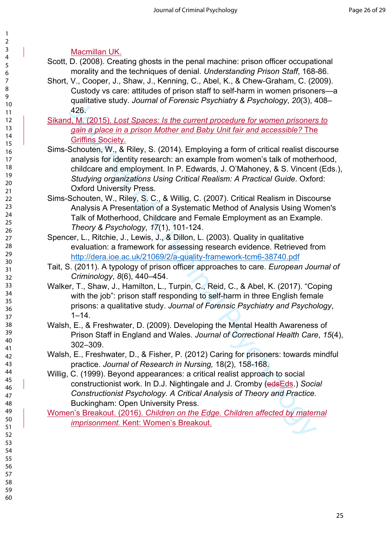# Macmillan UK.

- Scott, D. (2008). Creating ghosts in the penal machine: prison officer occupational morality and the techniques of denial. *Understanding Prison Staff*, 168-86.
- Short, V., Cooper, J., Shaw, J., Kenning, C., Abel, K., & Chew-Graham, C. (2009). Custody vs care: attitudes of prison staff to self-harm in women prisoners—a qualitative study. *Journal of Forensic Psychiatry & Psychology*, *20*(3), 408– 426.
- Sikand, M. (2015). *Lost Spaces: Is the current procedure for women prisoners to gain a place in a prison Mother and Baby Unit fair and accessible?* The Griffins Society.
- qual and of Forestic Fsychnety & Fsychology, 20(3), 4<br>426.<br>
426.<br>
426.<br>
426.<br>
426. 
M. (2015). Lost Spaces: Is the current procedure for wo[m](http://dera.ioe.ac.uk/21069/2/a-quality-framework-tcm6-38740.pdf)en prisoners<br>
gain a place in a proson Mother and Baby Unit fair and accessible? T Sims-Schouten, W., & Riley, S. (2014). Employing a form of critical realist discourse analysis for identity research: an example from women's talk of motherhood, childcare and employment. In P. Edwards, J. O'Mahoney, & S. Vincent (Eds.), *Studying organizations Using Critical Realism: A Practical Guide*. Oxford: Oxford University Press.
- Sims-Schouten, W., Riley, S. C., & Willig, C. (2007). Critical Realism in Discourse Analysis A Presentation of a Systematic Method of Analysis Using Women's Talk of Motherhood, Childcare and Female Employment as an Example. *Theory & Psychology*, *17*(1), 101-124.
- Spencer, L., Ritchie, J., Lewis, J., & Dillon, L. (2003). Quality in qualitative evaluation: a framework for assessing research evidence. Retrieved from http://dera.ioe.ac.uk/21069/2/a-quality-framework-tcm6-38740.pdf
- Tait, S. (2011). A typology of prison officer approaches to care. *European Journal of Criminology*, *8*(6), 440–454.
- Walker, T., Shaw, J., Hamilton, L., Turpin, C., Reid, C., & Abel, K. (2017). "Coping with the job": prison staff responding to self-harm in three English female prisons: a qualitative study. *Journal of Forensic Psychiatry and Psychology*,  $1 - 14.$
- Walsh, E., & Freshwater, D. (2009). Developing the Mental Health Awareness of Prison Staff in England and Wales. *Journal of Correctional Health Care*, *15*(4), 302–309.
- Walsh, E., Freshwater, D., & Fisher, P. (2012) Caring for prisoners: towards mindful practice. *Journal of Research in Nursing,* 18(2), 158-168.
- Willig, C. (1999). Beyond appearances: a critical realist approach to social constructionist work. In D.J. Nightingale and J. Cromby (edsEds.) *Social Constructionist Psychology. A Critical Analysis of Theory and Practice.*  Buckingham: Open University Press.
- Women's Breakout. (2016). *Children on the Edge. Children affected by maternal imprisonment.* Kent: Women's Breakout.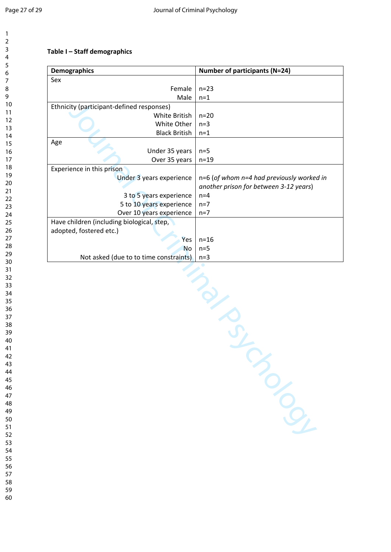#### **Table I – Staff demographics**

| <b>Demographics</b>                        | <b>Number of participants (N=24)</b>      |
|--------------------------------------------|-------------------------------------------|
| Sex                                        |                                           |
| Female                                     | $n=23$                                    |
| Male                                       | $n=1$                                     |
| Ethnicity (participant-defined responses)  |                                           |
| White British                              | $n=20$                                    |
| White Other                                | $n=3$                                     |
| <b>Black British</b>                       | $n=1$                                     |
| Age                                        |                                           |
| Under 35 years                             | $n=5$                                     |
| Over 35 years                              | $n=19$                                    |
| Experience in this prison                  |                                           |
| Under 3 years experience                   | n=6 (of whom n=4 had previously worked in |
|                                            | another prison for between 3-12 years)    |
| 3 to 5 years experience                    | $n=4$                                     |
| 5 to 10 years experience                   | $n=7$                                     |
| Over 10 years experience                   | $n=7$                                     |
| Have children (including biological, step, |                                           |
| adopted, fostered etc.)                    |                                           |
| Yes                                        | $n=16$                                    |
| <b>No</b>                                  | $n=5$                                     |
| Not asked (due to to time constraints)     | $n=3$                                     |
|                                            |                                           |
|                                            | $\frac{1}{\alpha}$                        |
|                                            |                                           |
|                                            |                                           |
|                                            |                                           |
|                                            |                                           |
|                                            |                                           |
|                                            |                                           |
|                                            |                                           |
|                                            | $\acute{\circ}$                           |
|                                            |                                           |
|                                            |                                           |
|                                            |                                           |
|                                            |                                           |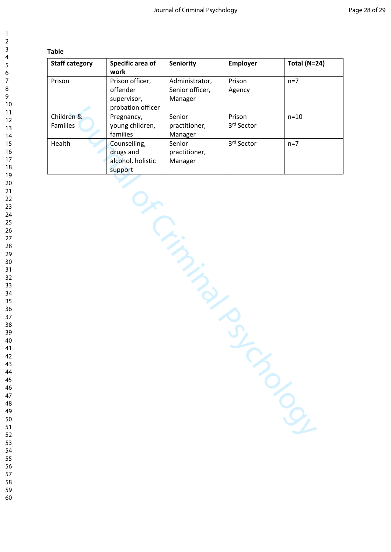#### **Table**

| <b>Staff category</b>  | Specific area of<br>work                                        | Seniority                                    | Employer             | Total (N=24) |
|------------------------|-----------------------------------------------------------------|----------------------------------------------|----------------------|--------------|
| Prison                 | Prison officer,<br>offender<br>supervisor,<br>probation officer | Administrator,<br>Senior officer,<br>Manager | Prison<br>Agency     | $n=7$        |
| Children &<br>Families | Pregnancy,<br>young children,<br>families                       | Senior<br>practitioner,<br>Manager           | Prison<br>3rd Sector | $n=10$       |
| Health                 | Counselling,<br>drugs and<br>alcohol, holistic<br>support       | Senior<br>practitioner,<br>Manager           | 3rd Sector           | $n=7$        |
|                        |                                                                 | MAN                                          | Nowa                 |              |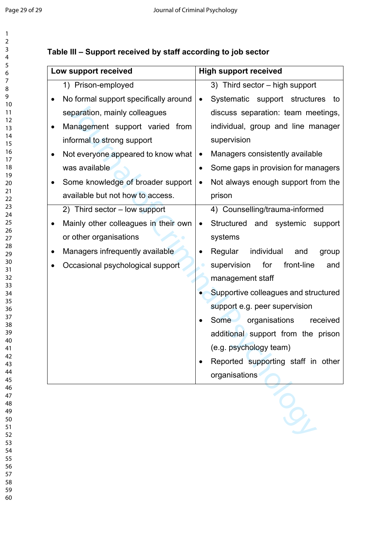| 1) Prison-employed                                                                                                                                                                                                                                                                                                                                                                                         | <b>High support received</b>                                                                                                                                                                                                                                                                                                                                                                                                                                                                                                                                                                                                                                                                     |
|------------------------------------------------------------------------------------------------------------------------------------------------------------------------------------------------------------------------------------------------------------------------------------------------------------------------------------------------------------------------------------------------------------|--------------------------------------------------------------------------------------------------------------------------------------------------------------------------------------------------------------------------------------------------------------------------------------------------------------------------------------------------------------------------------------------------------------------------------------------------------------------------------------------------------------------------------------------------------------------------------------------------------------------------------------------------------------------------------------------------|
| No formal support specifically around                                                                                                                                                                                                                                                                                                                                                                      | 3) Third sector - high support                                                                                                                                                                                                                                                                                                                                                                                                                                                                                                                                                                                                                                                                   |
|                                                                                                                                                                                                                                                                                                                                                                                                            | Systematic support structures                                                                                                                                                                                                                                                                                                                                                                                                                                                                                                                                                                                                                                                                    |
| separation, mainly colleagues                                                                                                                                                                                                                                                                                                                                                                              | to                                                                                                                                                                                                                                                                                                                                                                                                                                                                                                                                                                                                                                                                                               |
| Management support varied from<br>$\bullet$<br>informal to strong support<br>Not everyone appeared to know what<br>٠<br>was available<br>Some knowledge of broader support<br>available but not how to access.<br>2) Third sector - low support<br>Mainly other colleagues in their own<br>or other organisations<br>Managers infrequently available<br>$\bullet$<br>Occasional psychological support<br>٠ | discuss separation: team meetings,<br>individual, group and line manager<br>supervision<br>Managers consistently available<br>$\bullet$<br>Some gaps in provision for managers<br>٠<br>Not always enough support from the<br>$\bullet$<br>prison<br>4) Counselling/trauma-informed<br>Structured and<br>systemic<br>support<br>$\bullet$<br>systems<br>individual<br>Regular<br>and<br>group<br>front-line<br>supervision<br>for<br>and<br>management staff<br>Supportive colleagues and structured<br>support e.g. peer supervision<br>Some<br>organisations<br>received<br>additional support from the prison<br>(e.g. psychology team)<br>Reported supporting staff in other<br>organisations |